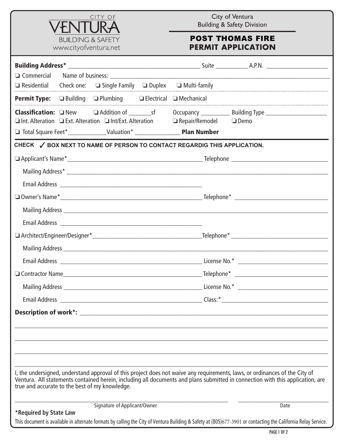

City of Ventura Building & Safety Division

## POST THOMAS FIRE **PERMIT APPLICATION**

| $\Box$ Residential Check one: $\Box$ Single Family $\Box$ Duplex $\Box$ Multi-family                                                                                          |                                                                                                                                                               |
|-------------------------------------------------------------------------------------------------------------------------------------------------------------------------------|---------------------------------------------------------------------------------------------------------------------------------------------------------------|
| <b>Permit Type:</b> □ Building □ Plumbing □ Electrical □ Mechanical                                                                                                           |                                                                                                                                                               |
| $\Box$ Int. Alteration $\Box$ Ext. Alteration $\Box$ Int/Ext. Alteration $\Box$ Repair/Remodel $\Box$ Demo                                                                    |                                                                                                                                                               |
| CHECK √ BOX NEXT TO NAME OF PERSON TO CONTACT REGARDIG THIS APPLICATION.                                                                                                      |                                                                                                                                                               |
|                                                                                                                                                                               |                                                                                                                                                               |
|                                                                                                                                                                               |                                                                                                                                                               |
|                                                                                                                                                                               |                                                                                                                                                               |
|                                                                                                                                                                               |                                                                                                                                                               |
|                                                                                                                                                                               |                                                                                                                                                               |
|                                                                                                                                                                               |                                                                                                                                                               |
|                                                                                                                                                                               |                                                                                                                                                               |
|                                                                                                                                                                               |                                                                                                                                                               |
|                                                                                                                                                                               |                                                                                                                                                               |
|                                                                                                                                                                               |                                                                                                                                                               |
|                                                                                                                                                                               |                                                                                                                                                               |
|                                                                                                                                                                               |                                                                                                                                                               |
| <b>Description of work*:</b>                                                                                                                                                  |                                                                                                                                                               |
|                                                                                                                                                                               |                                                                                                                                                               |
|                                                                                                                                                                               |                                                                                                                                                               |
|                                                                                                                                                                               |                                                                                                                                                               |
| I, the undersigned, understand approval of this project does not waive any requirements, laws, or ordinances of the City of<br>true and accurate to the best of my knowledge. | Ventura. All statements contained herein, including all documents and plans submitted in connection with this application, are                                |
| Signature of Applicant/Owner                                                                                                                                                  | Date                                                                                                                                                          |
| *Required by State Law                                                                                                                                                        | This document is available in alternate formats by calling the City of Ventura Building & Safety at (805)677-3901 or contacting the California Relay Service. |